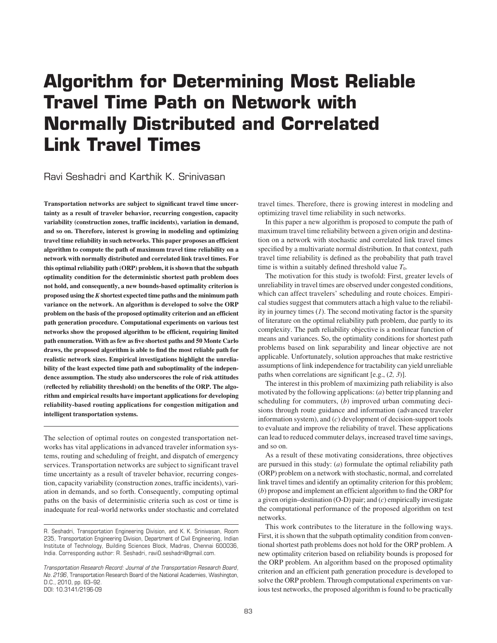# **Algorithm for Determining Most Reliable Travel Time Path on Network with Normally Distributed and Correlated Link Travel Times**

Ravi Seshadri and Karthik K. Srinivasan

**Transportation networks are subject to significant travel time uncertainty as a result of traveler behavior, recurring congestion, capacity variability (construction zones, traffic incidents), variation in demand, and so on. Therefore, interest is growing in modeling and optimizing travel time reliability in such networks. This paper proposes an efficient algorithm to compute the path of maximum travel time reliability on a network with normally distributed and correlated link travel times. For this optimal reliability path (ORP) problem, it is shown that the subpath optimality condition for the deterministic shortest path problem does not hold, and consequently, a new bounds-based optimality criterion is proposed using the** *K* **shortest expected time paths and the minimum path variance on the network. An algorithm is developed to solve the ORP problem on the basis of the proposed optimality criterion and an efficient path generation procedure. Computational experiments on various test networks show the proposed algorithm to be efficient, requiring limited path enumeration. With as few as five shortest paths and 50 Monte Carlo draws, the proposed algorithm is able to find the most reliable path for realistic network sizes. Empirical investigations highlight the unreliability of the least expected time path and suboptimality of the independence assumption. The study also underscores the role of risk attitudes (reflected by reliability threshold) on the benefits of the ORP. The algorithm and empirical results have important applications for developing reliability-based routing applications for congestion mitigation and intelligent transportation systems.**

The selection of optimal routes on congested transportation networks has vital applications in advanced traveler information systems, routing and scheduling of freight, and dispatch of emergency services. Transportation networks are subject to significant travel time uncertainty as a result of traveler behavior, recurring congestion, capacity variability (construction zones, traffic incidents), variation in demands, and so forth. Consequently, computing optimal paths on the basis of deterministic criteria such as cost or time is inadequate for real-world networks under stochastic and correlated

*Transportation Research Record: Journal of the Transportation Research Board, No. 2196,* Transportation Research Board of the National Academies, Washington, D.C., 2010, pp. 83–92. DOI: 10.3141/2196-09

travel times. Therefore, there is growing interest in modeling and optimizing travel time reliability in such networks.

In this paper a new algorithm is proposed to compute the path of maximum travel time reliability between a given origin and destination on a network with stochastic and correlated link travel times specified by a multivariate normal distribution. In that context, path travel time reliability is defined as the probability that path travel time is within a suitably defined threshold value  $T_0$ .

The motivation for this study is twofold: First, greater levels of unreliability in travel times are observed under congested conditions, which can affect travelers' scheduling and route choices. Empirical studies suggest that commuters attach a high value to the reliability in journey times (*1*). The second motivating factor is the sparsity of literature on the optimal reliability path problem, due partly to its complexity. The path reliability objective is a nonlinear function of means and variances. So, the optimality conditions for shortest path problems based on link separability and linear objective are not applicable. Unfortunately, solution approaches that make restrictive assumptions of link independence for tractability can yield unreliable paths when correlations are significant [e.g., (*2, 3*)].

The interest in this problem of maximizing path reliability is also motivated by the following applications: (*a*) better trip planning and scheduling for commuters, (*b*) improved urban commuting decisions through route guidance and information (advanced traveler information system), and (*c*) development of decision-support tools to evaluate and improve the reliability of travel. These applications can lead to reduced commuter delays, increased travel time savings, and so on.

As a result of these motivating considerations, three objectives are pursued in this study: (*a*) formulate the optimal reliability path (ORP) problem on a network with stochastic, normal, and correlated link travel times and identify an optimality criterion for this problem; (*b*) propose and implement an efficient algorithm to find the ORP for a given origin–destination (O-D) pair; and (*c*) empirically investigate the computational performance of the proposed algorithm on test networks.

This work contributes to the literature in the following ways. First, it is shown that the subpath optimality condition from conventional shortest path problems does not hold for the ORP problem. A new optimality criterion based on reliability bounds is proposed for the ORP problem. An algorithm based on the proposed optimality criterion and an efficient path generation procedure is developed to solve the ORP problem. Through computational experiments on various test networks, the proposed algorithm is found to be practically

R. Seshadri, Transportation Engineering Division, and K. K. Srinivasan, Room 235, Transportation Engineering Division, Department of Civil Engineering, Indian Institute of Technology, Building Sciences Block, Madras, Chennai 600036, India. Corresponding author: R. Seshadri, ravi0.seshadri@gmail.com.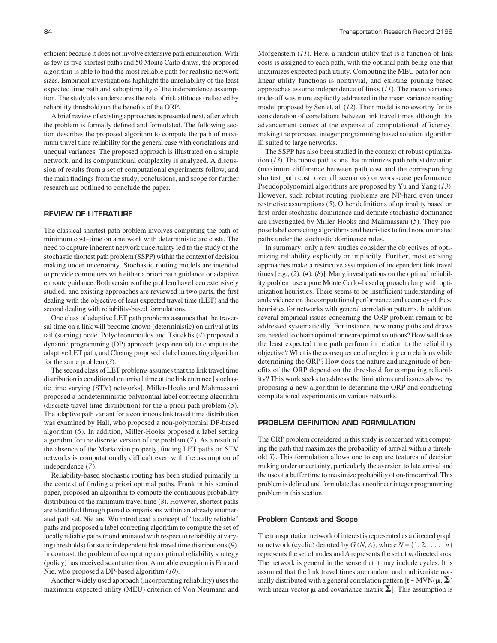efficient because it does not involve extensive path enumeration. With as few as five shortest paths and 50 Monte Carlo draws, the proposed algorithm is able to find the most reliable path for realistic network sizes. Empirical investigations highlight the unreliability of the least expected time path and suboptimality of the independence assumption. The study also underscores the role of risk attitudes (reflected by reliability threshold) on the benefits of the ORP.

A brief review of existing approaches is presented next, after which the problem is formally defined and formulated. The following section describes the proposed algorithm to compute the path of maximum travel time reliability for the general case with correlations and unequal variances. The proposed approach is illustrated on a simple network, and its computational complexity is analyzed. A discussion of results from a set of computational experiments follow, and the main findings from the study, conclusions, and scope for further research are outlined to conclude the paper.

## REVIEW OF LITERATURE

The classical shortest path problem involves computing the path of minimum cost–time on a network with deterministic arc costs. The need to capture inherent network uncertainty led to the study of the stochastic shortest path problem (SSPP) within the context of decision making under uncertainty. Stochastic routing models are intended to provide commuters with either a priori path guidance or adaptive en route guidance. Both versions of the problem have been extensively studied, and existing approaches are reviewed in two parts, the first dealing with the objective of least expected travel time (LET) and the second dealing with reliability-based formulations.

One class of adaptive LET path problems assumes that the traversal time on a link will become known (deterministic) on arrival at its tail (starting) node. Polychronopoulos and Tsitsiklis (*4*) proposed a dynamic programming (DP) approach (exponential) to compute the adaptive LET path, and Cheung proposed a label correcting algorithm for the same problem (*3*).

The second class of LET problems assumes that the link travel time distribution is conditional on arrival time at the link entrance [stochastic time varying (STV) networks]. Miller-Hooks and Mahmassani proposed a nondeterministic polynomial label correcting algorithm (discrete travel time distribution) for the a priori path problem (*5*). The adaptive path variant for a continuous link travel time distribution was examined by Hall, who proposed a non-polynomial DP-based algorithm (*6*). In addition, Miller-Hooks proposed a label setting algorithm for the discrete version of the problem (*7*). As a result of the absence of the Markovian property, finding LET paths on STV networks is computationally difficult even with the assumption of independence (*7*).

Reliability-based stochastic routing has been studied primarily in the context of finding a priori optimal paths. Frank in his seminal paper, proposed an algorithm to compute the continuous probability distribution of the minimum travel time (*8*). However, shortest paths are identified through paired comparisons within an already enumerated path set. Nie and Wu introduced a concept of "locally reliable" paths and proposed a label correcting algorithm to compute the set of locally reliable paths (nondominated with respect to reliability at varying thresholds) for static independent link travel time distributions (*9*). In contrast, the problem of computing an optimal reliability strategy (policy) has received scant attention. A notable exception is Fan and Nie, who proposed a DP-based algorithm (*10*).

Another widely used approach (incorporating reliability) uses the maximum expected utility (MEU) criterion of Von Neumann and Morgenstern (*11*). Here, a random utility that is a function of link costs is assigned to each path, with the optimal path being one that maximizes expected path utility. Computing the MEU path for nonlinear utility functions is nontrivial, and existing pruning-based approaches assume independence of links (*11*). The mean variance trade-off was more explicitly addressed in the mean variance routing model proposed by Sen et. al. (*12*). Their model is noteworthy for its consideration of correlations between link travel times although this advancement comes at the expense of computational efficiency, making the proposed integer programming based solution algorithm ill suited to large networks.

The SSPP has also been studied in the context of robust optimization (*13*). The robust path is one that minimizes path robust deviation (maximum difference between path cost and the corresponding shortest path cost, over all scenarios) or worst-case performance. Pseudopolynomial algorithms are proposed by Yu and Yang (*13*). However, such robust routing problems are NP-hard even under restrictive assumptions (*5*). Other definitions of optimality based on first-order stochastic dominance and definite stochastic dominance are investigated by Miller-Hooks and Mahmassani (*5*). They propose label correcting algorithms and heuristics to find nondominated paths under the stochastic dominance rules.

In summary, only a few studies consider the objectives of optimizing reliability explicitly or implicitly. Further, most existing approaches make a restrictive assumption of independent link travel times [e.g., (*2*), (*4*), (*8*)]. Many investigations on the optimal reliability problem use a pure Monte Carlo–based approach along with optimization heuristics. There seems to be insufficient understanding of and evidence on the computational performance and accuracy of these heuristics for networks with general correlation patterns. In addition, several empirical issues concerning the ORP problem remain to be addressed systematically. For instance, how many paths and draws are needed to obtain optimal or near-optimal solutions? How well does the least expected time path perform in relation to the reliability objective? What is the consequence of neglecting correlations while determining the ORP? How does the nature and magnitude of benefits of the ORP depend on the threshold for computing reliability? This work seeks to address the limitations and issues above by proposing a new algorithm to determine the ORP and conducting computational experiments on various networks.

## PROBLEM DEFINITION AND FORMULATION

The ORP problem considered in this study is concerned with computing the path that maximizes the probability of arrival within a threshold  $T_0$ . This formulation allows one to capture features of decision making under uncertainty, particularly the aversion to late arrival and the use of a buffer time to maximize probability of on-time arrival. This problem is defined and formulated as a nonlinear integer programming problem in this section.

### Problem Context and Scope

The transportation network of interest is represented as a directed graph or network (cyclic) denoted by  $G(N, A)$ , where  $N = \{1, 2, \ldots, n\}$ represents the set of nodes and *A* represents the set of *m* directed arcs. The network is general in the sense that it may include cycles. It is assumed that the link travel times are random and multivariate normally distributed with a general correlation pattern [**t** ∼ MVN( $\boldsymbol{\mu}, \boldsymbol{\Sigma}$ ) with mean vector  $\mu$  and covariance matrix  $\Sigma$ ]. This assumption is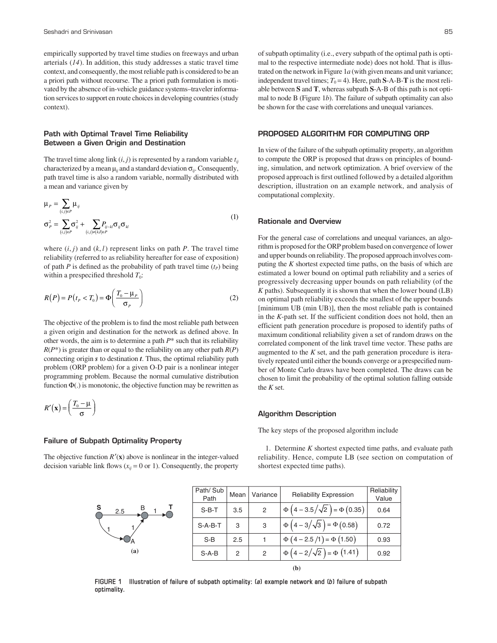empirically supported by travel time studies on freeways and urban arterials (*14*). In addition, this study addresses a static travel time context, and consequently, the most reliable path is considered to be an a priori path without recourse. The a priori path formulation is motivated by the absence of in-vehicle guidance systems–traveler information services to support en route choices in developing countries(study context).

# Path with Optimal Travel Time Reliability Between a Given Origin and Destination

The travel time along link  $(i, j)$  is represented by a random variable  $t_{ij}$ characterized by a mean  $\mu_{ij}$  and a standard deviation  $\sigma_{ij}$ . Consequently, path travel time is also a random variable, normally distributed with a mean and variance given by

$$
\mu_{P} = \sum_{(i,j)\in P} \mu_{ij}
$$
\n
$$
\sigma_{P}^{2} = \sum_{(i,j)\in P} \sigma_{ij}^{2} + \sum_{(i,j)\neq (k,l)\in P} P_{ij-lil} \sigma_{ij} \sigma_{kl}
$$
\n(1)

where  $(i, j)$  and  $(k, l)$  represent links on path *P*. The travel time reliability (referred to as reliability hereafter for ease of exposition) of path  $P$  is defined as the probability of path travel time  $(t_P)$  being within a prespecified threshold  $T_0$ :

$$
R(P) = P(t_P < T_0) = \Phi\left(\frac{T_0 - \mu_P}{\sigma_P}\right) \tag{2}
$$

The objective of the problem is to find the most reliable path between a given origin and destination for the network as defined above. In other words, the aim is to determine a path *P*\* such that its reliability  $R(P^*)$  is greater than or equal to the reliability on any other path  $R(P)$ connecting origin *s* to destination *t*. Thus, the optimal reliability path problem (ORP problem) for a given O-D pair is a nonlinear integer programming problem. Because the normal cumulative distribution function  $\Phi(.)$  is monotonic, the objective function may be rewritten as

$$
R'(\mathbf{x}) = \left(\frac{T_0 - \mu}{\sigma}\right)
$$

#### Failure of Subpath Optimality Property

2.5 **<sup>S</sup>**

The objective function  $R'(x)$  above is nonlinear in the integer-valued decision variable link flows  $(x_{ii} = 0 \text{ or } 1)$ . Consequently, the property

of subpath optimality (i.e., every subpath of the optimal path is optimal to the respective intermediate node) does not hold. That is illustrated on the network in Figure 1*a* (with given means and unit variance; independent travel times;  $T_0 = 4$ ). Here, path **S**-A-B-**T** is the most reliable between **S** and **T**, whereas subpath **S**-A-B of this path is not optimal to node B (Figure 1*b*). The failure of subpath optimality can also be shown for the case with correlations and unequal variances.

#### PROPOSED ALGORITHM FOR COMPUTING ORP

In view of the failure of the subpath optimality property, an algorithm to compute the ORP is proposed that draws on principles of bounding, simulation, and network optimization. A brief overview of the proposed approach is first outlined followed by a detailed algorithm description, illustration on an example network, and analysis of computational complexity.

#### Rationale and Overview

For the general case of correlations and unequal variances, an algorithm is proposed for the ORP problem based on convergence of lower and upper bounds on reliability. The proposed approach involves computing the *K* shortest expected time paths, on the basis of which are estimated a lower bound on optimal path reliability and a series of progressively decreasing upper bounds on path reliability (of the *K* paths). Subsequently it is shown that when the lower bound (LB) on optimal path reliability exceeds the smallest of the upper bounds [minimum UB (min UB)], then the most reliable path is contained in the *K*-path set. If the sufficient condition does not hold, then an efficient path generation procedure is proposed to identify paths of maximum conditional reliability given a set of random draws on the correlated component of the link travel time vector. These paths are augmented to the  $K$  set, and the path generation procedure is iteratively repeated until either the bounds converge or a prespecified number of Monte Carlo draws have been completed. The draws can be chosen to limit the probability of the optimal solution falling outside the *K* set.

## Algorithm Description

The key steps of the proposed algorithm include

1. Determine *K* shortest expected time paths, and evaluate path reliability. Hence, compute LB (see section on computation of shortest expected time paths).

|               | Path/Sub<br>Path | Mean | Variance       | <b>Reliability Expression</b>                        | Reliability<br>Value |
|---------------|------------------|------|----------------|------------------------------------------------------|----------------------|
| 2.5           | $S-B-T$          | 3.5  | $\overline{2}$ | $\Phi$ $\left(4-3.5/\sqrt{2}\right) = \Phi$ $(0.35)$ | 0.64                 |
|               | $S-A-B-T$        | 3    | 3              | $\Phi\left(4-3/\sqrt{3}\right) = \Phi(0.58)$         | 0.72                 |
| $\rightarrow$ | $S-B$            | 2.5  |                | $\Phi$ (4 – 2.5 /1) = $\Phi$ (1.50)                  | 0.93                 |
| (a)           | $S-A-B$          | 2    | $\overline{2}$ | $\Phi(4-2/\sqrt{2}) = \Phi(1.41)$                    | 0.92                 |
|               |                  |      |                | (b)                                                  |                      |

**FIGURE 1 Illustration of failure of subpath optimality: (***a***) example network and (***b***) failure of subpath optimality.**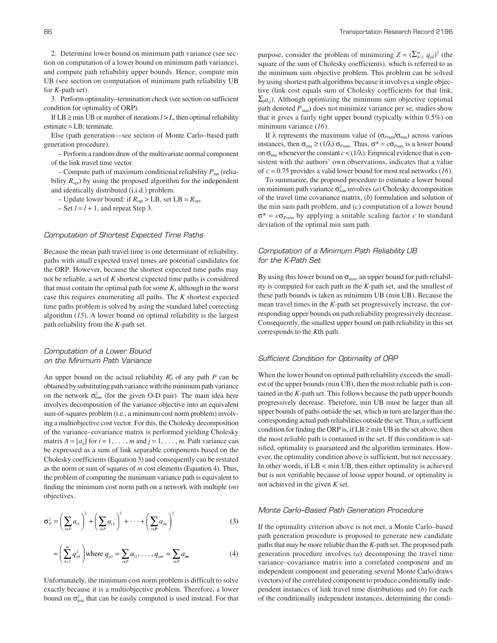2. Determine lower bound on minimum path variance (see section on computation of a lower bound on minimum path variance), and compute path reliability upper bounds. Hence, compute min UB (see section on computation of minimum path reliability UB for *K*-path set).

3. Perform optimality–termination check (see section on sufficient condition for optimality of ORP).

If  $LB \geq min \, UB$  or number of iterations  $l > L$ , then optimal reliability estimate = LB; terminate.

Else (path generation—see section of Monte Carlo–based path generation procedure).

– Perform a random draw of the multivariate normal component of the link travel time vector.

– Compute path of maximum conditional reliability  $P_{opt}$  (reliability  $R_{opt}$ ) by using the proposed algorithm for the independent and identically distributed (i.i.d.) problem.

– Update lower bound: if 
$$
R_{opt}
$$
 > LB, set LB =  $R_{opt}$ .

 $-$  Set  $l = l + 1$ , and repeat Step 3.

#### Computation of Shortest Expected Time Paths

Because the mean path travel time is one determinant of reliability, paths with small expected travel times are potential candidates for the ORP. However, because the shortest expected time paths may not be reliable, a set of *K* shortest expected time paths is considered that must contain the optimal path for some *K*, although in the worst case this requires enumerating all paths. The *K* shortest expected time paths problem is solved by using the standard label correcting algorithm (*15*). A lower bound on optimal reliability is the largest path reliability from the *K*-path set.

# Computation of a Lower Bound on the Minimum Path Variance

An upper bound on the actual reliability  $R'_{P}$  of any path  $P$  can be obtained by substituting path variance with the minimum path variance on the network  $\sigma_{min}^2$  (for the given O-D pair). The main idea here involves decomposition of the variance objective into an equivalent sum-of-squares problem (i.e., a minimum cost norm problem) involving a multiobjective cost vector. For this, the Cholesky decomposition of the variance–covariance matrix is performed yielding Cholesky matrix  $A = [a_{ij}]$  for  $i = 1, \ldots, m$  and  $j = 1, \ldots, m$ . Path variance can be expressed as a sum of link separable components based on the Cholesky coefficients (Equation 3) and consequently can be restated as the norm or sum of squares of *m* cost elements (Equation 4). Thus, the problem of computing the minimum variance path is equivalent to finding the minimum cost norm path on a network with multiple (*m*) objectives.

$$
\sigma_P^2 = \left(\sum_{i \in P} a_{i1}\right)^2 + \left(\sum_{i \in P} a_{i2}\right)^2 + \dots + \left(\sum_{i \in P} a_{in}\right)^2 \tag{3}
$$

$$
= \left(\sum_{k=1}^{m} q_{pk}^{2}\right) \text{where } q_{p1} = \sum_{i \in P} a_{i1}, \dots, q_{pm} = \sum_{i \in P} a_{im} \tag{4}
$$

Unfortunately, the minimum cost norm problem is difficult to solve exactly because it is a multiobjective problem. Therefore, a lower bound on  $\sigma_{\min}^2$  that can be easily computed is used instead. For that

purpose, consider the problem of minimizing  $Z = (\sum_{k=1}^{m} q_{pk})^2$  (the square of the sum of Cholesky coefficients), which is referred to as the minimum sum objective problem. This problem can be solved by using shortest path algorithms because it involves a single objective (link cost equals sum of Cholesky coefficients for that link,  $\Sigma_i a_{ij}$ ). Although optimizing the minimum sum objective (optimal path denoted  $P_{\text{sum}}$ ) does not minimize variance per se, studies show that it gives a fairly tight upper bound (typically within 0.5%) on minimum variance (*16*).

If λ represents the maximum value of ( $\sigma_{Psum}/\sigma_{min}$ ) across various instances, then  $\sigma_{\min} \ge (1/\lambda) \sigma_{P_{\text{sum}}}$ . Thus,  $\sigma^* = c \sigma_{P_{\text{sum}}}$  is a lower bound on  $\sigma_{\min}$  whenever the constant  $c < (1/\lambda)$ . Empirical evidence that is consistent with the authors' own observations, indicates that a value of *c* = 0.75 provides a valid lower bound for most real networks (*16*).

To summarize, the proposed procedure to estimate a lower bound on minimum path variance  $\sigma_{min}^2$  involves (*a*) Cholesky decomposition of the travel time covariance matrix, (*b*) formulation and solution of the min sum path problem, and (*c*) computation of a lower bound  $\sigma^* = c \sigma_{\text{Psum}}$  by applying a suitable scaling factor *c* to standard deviation of the optimal min sum path.

# Computation of a Minimum Path Reliability UB for the K-Path Set

By using this lower bound on  $\sigma_{min}$ , an upper bound for path reliability is computed for each path in the *K*-path set, and the smallest of these path bounds is taken as minimum UB (min UB). Because the mean travel times in the *K*-path set progressively increase, the corresponding upper bounds on path reliability progressively decrease. Consequently, the smallest upper bound on path reliability in this set corresponds to the *K*th path.

#### Sufficient Condition for Optimality of ORP

When the lower bound on optimal path reliability exceeds the smallest of the upper bounds (min UB), then the most reliable path is contained in the *K*-path set. This follows because the path upper bounds progressively decrease. Therefore, min UB must be larger than all upper bounds of paths outside the set, which in turn are larger than the corresponding actual path reliabilities outside the set. Thus, a sufficient condition for finding the ORP is, if  $LB \geq min UB$  in the set above, then the most reliable path is contained in the set. If this condition is satisfied, optimality is guaranteed and the algorithm terminates. However, the optimality condition above is sufficient, but not necessary. In other words, if LB < min UB, then either optimality is achieved but is not verifiable because of loose upper bound, or optimality is not achieved in the given *K* set.

### Monte Carlo–Based Path Generation Procedure

If the optimality criterion above is not met, a Monte Carlo–based path generation procedure is proposed to generate new candidate paths that may be more reliable than the *K*-path set. The proposed path generation procedure involves (*a*) decomposing the travel time variance–covariance matrix into a correlated component and an independent component and generating several Monte Carlo draws (vectors) of the correlated component to produce conditionally independent instances of link travel time distributions and (*b*) for each of the conditionally independent instances, determining the condi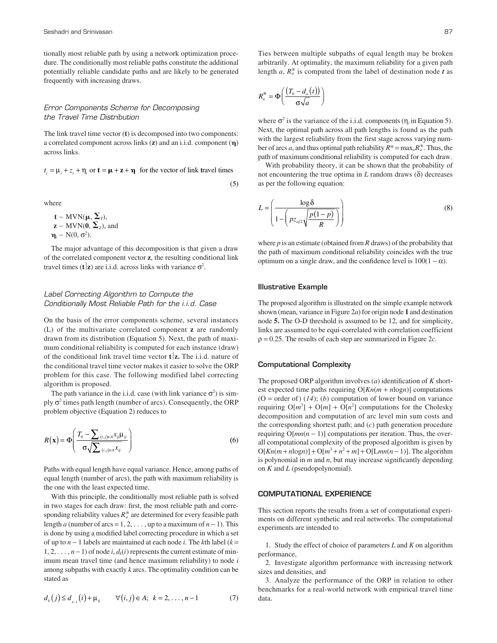tionally most reliable path by using a network optimization procedure. The conditionally most reliable paths constitute the additional potentially reliable candidate paths and are likely to be generated frequently with increasing draws.

# Error Components Scheme for Decomposing the Travel Time Distribution

The link travel time vector (**t**) is decomposed into two components: a correlated component across links (**z**) and an i.i.d. component ( $\eta$ ) across links.

 $t_i = \mu_i + z_i + \eta_i$  or  $\mathbf{t} = \boldsymbol{\mu} + \mathbf{z} + \boldsymbol{\eta}$  for the vector of link travel times

where

**t** ∼ MVN( $\mu$ ,  $\Sigma$ <sub>*T*</sub>), **z** ∼ MVN(**0**, *Z*), and  $\mathbf{\eta}_i \sim \mathrm{N}(0, \sigma^2)$ .

The major advantage of this decomposition is that given a draw of the correlated component vector **z**, the resulting conditional link travel times ( $t|z$ ) are i.i.d. across links with variance  $\sigma^2$ .

# Label Correcting Algorithm to Compute the Conditionally Most Reliable Path for the i.i.d. Case

On the basis of the error components scheme, several instances (L) of the multivariate correlated component **z** are randomly drawn from its distribution (Equation 5). Next, the path of maximum conditional reliability is computed for each instance (draw) of the conditional link travel time vector  $t\mathbf{z}$ . The i.i.d. nature of the conditional travel time vector makes it easier to solve the ORP problem for this case. The following modified label correcting algorithm is proposed.

The path variance in the i.i.d. case (with link variance  $\sigma^2$ ) is simply  $\sigma^2$  times path length (number of arcs). Consequently, the ORP problem objective (Equation 2) reduces to

$$
R(\mathbf{x}) = \Phi\left(\frac{T_0 - \sum_{(i,j)\in A} x_{ij} \mu_{ij}}{\sigma \sqrt{\sum_{(i,j)\in A} x_{ij}}}\right)
$$
(6)

Paths with equal length have equal variance. Hence, among paths of equal length (number of arcs), the path with maximum reliability is the one with the least expected time.

With this principle, the conditionally most reliable path is solved in two stages for each draw: first, the most reliable path and corresponding reliability values  $R_a^*$  are determined for every feasible path length *a* (number of arcs = 1, 2, . . . , up to a maximum of  $n - 1$ ). This is done by using a modified label correcting procedure in which a set of up to *n* − 1 labels are maintained at each node *i.* The *k*th label (*k* =  $1, 2, \ldots, n-1$ ) of node *i*,  $d_k(i)$  represents the current estimate of minimum mean travel time (and hence maximum reliability) to node *i* among subpaths with exactly *k* arcs. The optimality condition can be stated as

$$
d_k(j) \le d_{k-1}(i) + \mu_{ij} \qquad \forall (i, j) \in A; \ \ k = 2, \dots, n-1 \tag{7}
$$

Ties between multiple subpaths of equal length may be broken arbitrarily. At optimality, the maximum reliability for a given path length *a*,  $R_a^*$  is computed from the label of destination node *t* as

$$
R_a^* = \Phi\left(\frac{\left(T_0 - d_a\left(t\right)\right)}{\sigma\sqrt{a}}\right)
$$

 $(5)$ 

where  $\sigma^2$  is the variance of the i.i.d. components ( $\eta_i$  in Equation 5). Next, the optimal path across all path lengths is found as the path with the largest reliability from the first stage across varying number of arcs *a*, and thus optimal path reliability  $R^* = \max_a R_a^*$ . Thus, the path of maximum conditional reliability is computed for each draw.

With probability theory, it can be shown that the probability of not encountering the true optima in *L* random draws (δ) decreases as per the following equation:

$$
L = \left(\frac{\log \delta}{1 - \left(pz_{a/2}\sqrt{\frac{p(1-p)}{R}}\right)}\right)
$$
(8)

where *p* is an estimate (obtained from *R* draws) of the probability that the path of maximum conditional reliability coincides with the true optimum on a single draw, and the confidence level is  $100(1 - \alpha)$ .

#### Illustrative Example

The proposed algorithm is illustrated on the simple example network shown (mean, variance in Figure 2*a*) for origin node **1** and destination node **5.** The O-D threshold is assumed to be 12, and for simplicity, links are assumed to be equi-correlated with correlation coefficient  $\rho = 0.25$ . The results of each step are summarized in Figure 2*c*.

# Computational Complexity

The proposed ORP algorithm involves (*a*) identification of *K* shortest expected time paths requiring  $O[Kn(m + n\log n)]$  computations  $(O = order of)$  (14); (*b*) computation of lower bound on variance requiring  $O[m^3] + O[m] + O[n^2]$  computations for the Cholesky decomposition and computation of arc level min sum costs and the corresponding shortest path; and (*c*) path generation procedure requiring  $O[mn(n-1)]$  computations per iteration. Thus, the overall computational complexity of the proposed algorithm is given by  $O[Kn(m + nlog n)] + O[m^3 + n^2 + m] + O[Lmn(n - 1)]$ . The algorithm is polynomial in *m* and *n*, but may increase significantly depending on *K* and *L* (pseudopolynomial).

#### COMPUTATIONAL EXPERIENCE

This section reports the results from a set of computational experiments on different synthetic and real networks. The computational experiments are intended to

1. Study the effect of choice of parameters *L* and *K* on algorithm performance,

2. Investigate algorithm performance with increasing network sizes and densities, and

3. Analyze the performance of the ORP in relation to other benchmarks for a real-world network with empirical travel time data.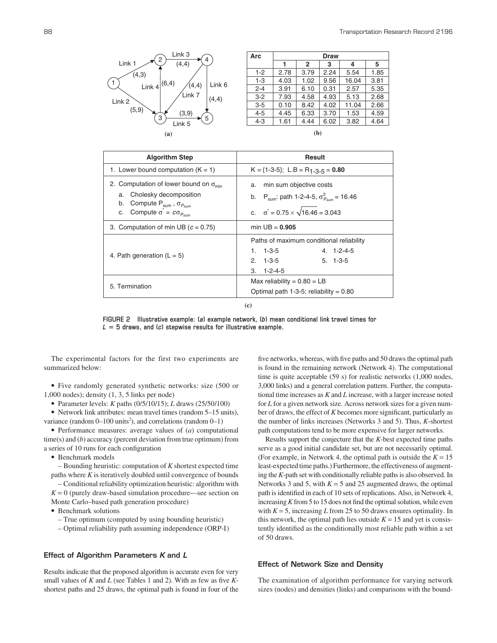

| Arc     | Draw                          |      |      |       |      |  |  |  |
|---------|-------------------------------|------|------|-------|------|--|--|--|
|         | $\overline{2}$<br>5<br>4<br>з |      |      |       |      |  |  |  |
| $1-2$   | 2.78                          | 3.79 | 2.24 | 5.54  | 1.85 |  |  |  |
| $1 - 3$ | 4.03                          | 1.02 | 9.56 | 16.04 | 3.81 |  |  |  |
| $2 - 4$ | 3.91                          | 6.10 | 0.31 | 2.57  | 5.35 |  |  |  |
| $3 - 2$ | 7.93                          | 4.58 | 4.93 | 5.13  | 2.68 |  |  |  |
| $3-5$   | 0.10                          | 8.42 | 4.02 | 11.04 | 2.66 |  |  |  |
| $4 - 5$ | 4.45                          | 6.33 | 3.70 | 1.53  | 4.59 |  |  |  |
| $4 - 3$ | 1.61                          | 4.44 | 6.02 | 3.82  | 4.64 |  |  |  |
|         |                               |      |      |       |      |  |  |  |

| <b>Algorithm Step</b>                                                                                                                                                                                              | <b>Result</b>                                                                                                                                      |  |  |  |
|--------------------------------------------------------------------------------------------------------------------------------------------------------------------------------------------------------------------|----------------------------------------------------------------------------------------------------------------------------------------------------|--|--|--|
| 1. Lower bound computation $(K = 1)$                                                                                                                                                                               | $K = \{1-3-5\}; L.B = R_{1-3-5} = 0.80$                                                                                                            |  |  |  |
| 2. Computation of lower bound on $\sigma_{\min}$<br>Cholesky decomposition<br>a.<br>Compute $\mathsf{P}_{\mathsf{sum}}$ , $\sigma_{\mathsf{P}_{\mathsf{sum}}}$<br>b.<br>Compute $\sigma = c\sigma_{P_{sum}}$<br>C. | a. min sum objective costs<br>b. P <sub>sum</sub> : path 1-2-4-5, $\sigma_{P_{sum}}^2$ = 16.46<br>c. $\sigma^* = 0.75 \times \sqrt{16.46} = 3.043$ |  |  |  |
| 3. Computation of min UB ( $c = 0.75$ )                                                                                                                                                                            | min $UB = 0.905$                                                                                                                                   |  |  |  |
| 4. Path generation $(L = 5)$                                                                                                                                                                                       | Paths of maximum conditional reliability<br>$1.1 - 3 - 5$<br>$4.1 - 2 - 4 - 5$<br>$2.1 - -3 - 5$<br>$5.1 - 3 - 5$<br>$3.1 - 2 - 4 - 5$             |  |  |  |
| 5. Termination                                                                                                                                                                                                     | Max reliability = $0.80 = LB$<br>Optimal path 1-3-5; reliability = $0.80$                                                                          |  |  |  |

**(c)**

**FIGURE 2 Illustrative example: (***a***) example network, (***b***) mean conditional link travel times for**  *L* **5 draws, and (***c***) stepwise results for illustrative example.**

The experimental factors for the first two experiments are summarized below:

• Five randomly generated synthetic networks: size (500 or 1,000 nodes); density (1, 3, 5 links per node)

• Parameter levels: *K* paths (0/5/10/15); *L* draws (25/50/100)

• Network link attributes: mean travel times (random 5–15 units), variance (random  $0-100$  units<sup>2</sup>), and correlations (random  $0-1$ )

• Performance measures: average values of (*a*) computational time(s) and (*b*) accuracy (percent deviation from true optimum) from a series of 10 runs for each configuration

• Benchmark models

– Bounding heuristic: computation of *K* shortest expected time paths where *K* is iteratively doubled until convergence of bounds

– Conditional reliability optimization heuristic: algorithm with  $K = 0$  (purely draw-based simulation procedure—see section on Monte Carlo–based path generation procedure)

• Benchmark solutions

– True optimum (computed by using bounding heuristic)

– Optimal reliability path assuming independence (ORP-I)

# Effect of Algorithm Parameters K and L

Results indicate that the proposed algorithm is accurate even for very small values of *K* and *L* (see Tables 1 and 2). With as few as five *K*shortest paths and 25 draws, the optimal path is found in four of the five networks, whereas, with five paths and 50 draws the optimal path is found in the remaining network (Network 4). The computational time is quite acceptable (59 s) for realistic networks (1,000 nodes, 3,000 links) and a general correlation pattern. Further, the computational time increases as *K* and *L* increase, with a larger increase noted for *L* for a given network size. Across network sizes for a given number of draws, the effect of *K* becomes more significant, particularly as the number of links increases (Networks 3 and 5). Thus, *K*-shortest path computations tend to be more expensive for larger networks.

Results support the conjecture that the *K*-best expected time paths serve as a good initial candidate set, but are not necessarily optimal. (For example, in Network 4, the optimal path is outside the  $K = 15$ least-expected time paths.) Furthermore, the effectiveness of augmenting the *K*-path set with conditionally reliable paths is also observed. In Networks 3 and 5, with  $K = 5$  and 25 augmented draws, the optimal path is identified in each of 10 sets of replications. Also, in Network 4, increasing  $K$  from 5 to 15 does not find the optimal solution, while even with  $K = 5$ , increasing *L* from 25 to 50 draws ensures optimality. In this network, the optimal path lies outside  $K = 15$  and yet is consistently identified as the conditionally most reliable path within a set of 50 draws.

#### Effect of Network Size and Density

The examination of algorithm performance for varying network sizes (nodes) and densities (links) and comparisons with the bound-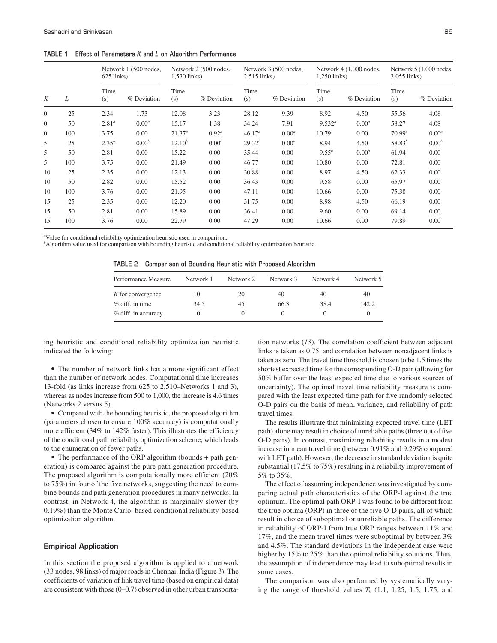|  | TABLE 1 Effect of Parameters $K$ and $L$ on Algorithm Performance |  |  |  |
|--|-------------------------------------------------------------------|--|--|--|
|--|-------------------------------------------------------------------|--|--|--|

| K            |     | Network 1 (500 nodes,<br>$625$ links) |             | Network 2 (500 nodes,<br>1,530 links) |             | Network 3 (500 nodes,<br>2,515 links) |             | Network $4(1,000$ nodes,<br>1,250 links) |             | Network $5(1,000$ nodes,<br>3,055 links) |             |
|--------------|-----|---------------------------------------|-------------|---------------------------------------|-------------|---------------------------------------|-------------|------------------------------------------|-------------|------------------------------------------|-------------|
|              | L   | Time<br>(s)                           | % Deviation | Time<br>(s)                           | % Deviation | Time<br>(s)                           | % Deviation | Time<br>(s)                              | % Deviation | Time<br>(s)                              | % Deviation |
| $\mathbf{0}$ | 25  | 2.34                                  | 1.73        | 12.08                                 | 3.23        | 28.12                                 | 9.39        | 8.92                                     | 4.50        | 55.56                                    | 4.08        |
| $\mathbf{0}$ | 50  | $2.81^{a}$                            | $0.00^a$    | 15.17                                 | 1.38        | 34.24                                 | 7.91        | $9.532^{a}$                              | $0.00^a$    | 58.27                                    | 4.08        |
| $\mathbf{0}$ | 100 | 3.75                                  | 0.00        | $21.37^a$                             | $0.92^a$    | 46.17 <sup>a</sup>                    | $0.00^a$    | 10.79                                    | 0.00        | $70.99^a$                                | $0.00^a$    |
| 5            | 25  | $2.35^{b}$                            | $0.00^{b}$  | $12.10^{b}$                           | $0.00^{b}$  | $29.32^{b}$                           | $0.00^{b}$  | 8.94                                     | 4.50        | $58.83^{b}$                              | $0.00^{b}$  |
| 5            | 50  | 2.81                                  | 0.00        | 15.22                                 | 0.00        | 35.44                                 | 0.00        | $9.55^{b}$                               | $0.00^{b}$  | 61.94                                    | 0.00        |
| 5            | 100 | 3.75                                  | 0.00        | 21.49                                 | 0.00        | 46.77                                 | 0.00        | 10.80                                    | 0.00        | 72.81                                    | 0.00        |
| 10           | 25  | 2.35                                  | 0.00        | 12.13                                 | 0.00        | 30.88                                 | 0.00        | 8.97                                     | 4.50        | 62.33                                    | 0.00        |
| 10           | 50  | 2.82                                  | 0.00        | 15.52                                 | 0.00        | 36.43                                 | 0.00        | 9.58                                     | 0.00        | 65.97                                    | 0.00        |
| 10           | 100 | 3.76                                  | 0.00        | 21.95                                 | 0.00        | 47.11                                 | 0.00        | 10.66                                    | 0.00        | 75.38                                    | 0.00        |
| 15           | 25  | 2.35                                  | 0.00        | 12.20                                 | 0.00        | 31.75                                 | 0.00        | 8.98                                     | 4.50        | 66.19                                    | 0.00        |
| 15           | 50  | 2.81                                  | 0.00        | 15.89                                 | 0.00        | 36.41                                 | 0.00        | 9.60                                     | 0.00        | 69.14                                    | 0.00        |
| 15           | 100 | 3.76                                  | 0.00        | 22.79                                 | 0.00        | 47.29                                 | 0.00        | 10.66                                    | 0.00        | 79.89                                    | 0.00        |

*<sup>a</sup>*Value for conditional reliability optimization heuristic used in comparison.

*<sup>b</sup>*Algorithm value used for comparison with bounding heuristic and conditional reliability optimization heuristic.

**TABLE 2 Comparison of Bounding Heuristic with Proposed Algorithm**

| Performance Measure | Network 1 | Network 2 | Network 3 | Network 4 | Network 5 |
|---------------------|-----------|-----------|-----------|-----------|-----------|
| K for convergence   | 10        | 20        | 40        | 40        | 40        |
| $%$ diff. in time   | 34.5      | 45        | 66.3      | 38.4      | 142.2     |
| % diff. in accuracy |           |           |           |           |           |

ing heuristic and conditional reliability optimization heuristic indicated the following:

• The number of network links has a more significant effect than the number of network nodes. Computational time increases 13-fold (as links increase from 625 to 2,510–Networks 1 and 3), whereas as nodes increase from 500 to 1,000, the increase is 4.6 times (Networks 2 versus 5).

• Compared with the bounding heuristic, the proposed algorithm (parameters chosen to ensure 100% accuracy) is computationally more efficient (34% to 142% faster). This illustrates the efficiency of the conditional path reliability optimization scheme, which leads to the enumeration of fewer paths.

• The performance of the ORP algorithm (bounds + path generation) is compared against the pure path generation procedure. The proposed algorithm is computationally more efficient (20% to 75%) in four of the five networks, suggesting the need to combine bounds and path generation procedures in many networks. In contrast, in Network 4, the algorithm is marginally slower (by 0.19%) than the Monte Carlo–based conditional reliability-based optimization algorithm.

#### Empirical Application

In this section the proposed algorithm is applied to a network (33 nodes, 98 links) of major roads in Chennai, India (Figure 3). The coefficients of variation of link travel time (based on empirical data) are consistent with those (0–0.7) observed in other urban transportation networks (*13*). The correlation coefficient between adjacent links is taken as 0.75, and correlation between nonadjacent links is taken as zero. The travel time threshold is chosen to be 1.5 times the shortest expected time for the corresponding O-D pair (allowing for 50% buffer over the least expected time due to various sources of uncertainty). The optimal travel time reliability measure is compared with the least expected time path for five randomly selected O-D pairs on the basis of mean, variance, and reliability of path travel times.

The results illustrate that minimizing expected travel time (LET path) alone may result in choice of unreliable paths (three out of five O-D pairs). In contrast, maximizing reliability results in a modest increase in mean travel time (between 0.91% and 9.29% compared with LET path). However, the decrease in standard deviation is quite substantial (17.5% to 75%) resulting in a reliability improvement of 5% to 35%.

The effect of assuming independence was investigated by comparing actual path characteristics of the ORP-I against the true optimum. The optimal path ORP-I was found to be different from the true optima (ORP) in three of the five O-D pairs, all of which result in choice of suboptimal or unreliable paths. The difference in reliability of ORP-I from true ORP ranges between 11% and 17%, and the mean travel times were suboptimal by between 3% and 4.5%. The standard deviations in the independent case were higher by 15% to 25% than the optimal reliability solutions. Thus, the assumption of independence may lead to suboptimal results in some cases.

The comparison was also performed by systematically varying the range of threshold values  $T_0$  (1.1, 1.25, 1.5, 1.75, and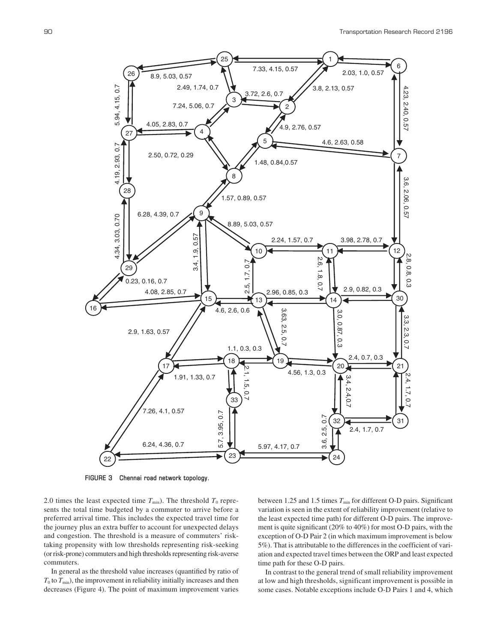

**FIGURE 3 Chennai road network topology.**

2.0 times the least expected time  $T_{\text{min}}$ ). The threshold  $T_0$  represents the total time budgeted by a commuter to arrive before a preferred arrival time. This includes the expected travel time for the journey plus an extra buffer to account for unexpected delays and congestion. The threshold is a measure of commuters' risktaking propensity with low thresholds representing risk-seeking (or risk-prone) commuters and high thresholds representing risk-averse commuters.

In general as the threshold value increases (quantified by ratio of  $T_0$  to  $T_{\text{min}}$ ), the improvement in reliability initially increases and then decreases (Figure 4). The point of maximum improvement varies

between 1.25 and 1.5 times  $T_{\text{min}}$  for different O-D pairs. Significant variation is seen in the extent of reliability improvement (relative to the least expected time path) for different O-D pairs. The improvement is quite significant (20% to 40%) for most O-D pairs, with the exception of O-D Pair 2 (in which maximum improvement is below 5%). That is attributable to the differences in the coefficient of variation and expected travel times between the ORP and least expected time path for these O-D pairs.

In contrast to the general trend of small reliability improvement at low and high thresholds, significant improvement is possible in some cases. Notable exceptions include O-D Pairs 1 and 4, which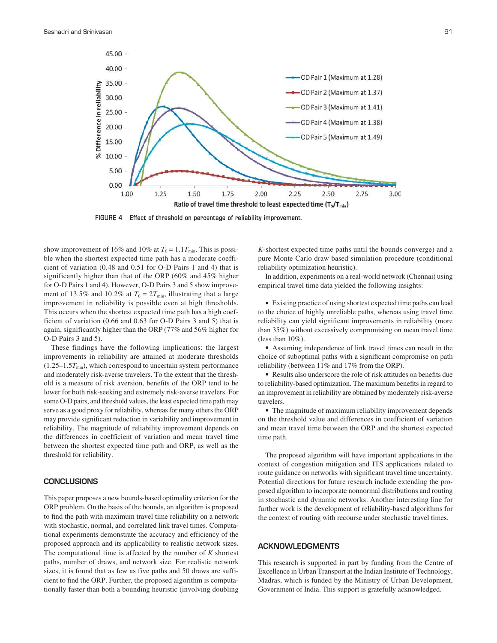

**FIGURE 4 Effect of threshold on percentage of reliability improvement.**

show improvement of 16% and 10% at  $T_0 = 1.1 T_{min}$ . This is possible when the shortest expected time path has a moderate coefficient of variation (0.48 and 0.51 for O-D Pairs 1 and 4) that is significantly higher than that of the ORP (60% and 45% higher for O-D Pairs 1 and 4). However, O-D Pairs 3 and 5 show improvement of 13.5% and 10.2% at  $T_0 = 2T_{\text{min}}$ , illustrating that a large improvement in reliability is possible even at high thresholds. This occurs when the shortest expected time path has a high coefficient of variation (0.66 and 0.63 for O-D Pairs 3 and 5) that is again, significantly higher than the ORP (77% and 56% higher for O-D Pairs 3 and 5).

These findings have the following implications: the largest improvements in reliability are attained at moderate thresholds  $(1.25-1.5T<sub>min</sub>)$ , which correspond to uncertain system performance and moderately risk-averse travelers. To the extent that the threshold is a measure of risk aversion, benefits of the ORP tend to be lower for both risk-seeking and extremely risk-averse travelers. For some O-D pairs, and threshold values, the least expected time path may serve as a good proxy for reliability, whereas for many others the ORP may provide significant reduction in variability and improvement in reliability. The magnitude of reliability improvement depends on the differences in coefficient of variation and mean travel time between the shortest expected time path and ORP, as well as the threshold for reliability.

## **CONCLUSIONS**

This paper proposes a new bounds-based optimality criterion for the ORP problem. On the basis of the bounds, an algorithm is proposed to find the path with maximum travel time reliability on a network with stochastic, normal, and correlated link travel times. Computational experiments demonstrate the accuracy and efficiency of the proposed approach and its applicability to realistic network sizes. The computational time is affected by the number of *K* shortest paths, number of draws, and network size. For realistic network sizes, it is found that as few as five paths and 50 draws are sufficient to find the ORP. Further, the proposed algorithm is computationally faster than both a bounding heuristic (involving doubling *K*-shortest expected time paths until the bounds converge) and a pure Monte Carlo draw based simulation procedure (conditional reliability optimization heuristic).

In addition, experiments on a real-world network (Chennai) using empirical travel time data yielded the following insights:

• Existing practice of using shortest expected time paths can lead to the choice of highly unreliable paths, whereas using travel time reliability can yield significant improvements in reliability (more than 35%) without excessively compromising on mean travel time (less than 10%).

• Assuming independence of link travel times can result in the choice of suboptimal paths with a significant compromise on path reliability (between 11% and 17% from the ORP).

• Results also underscore the role of risk attitudes on benefits due to reliability-based optimization. The maximum benefits in regard to an improvement in reliability are obtained by moderately risk-averse travelers.

• The magnitude of maximum reliability improvement depends on the threshold value and differences in coefficient of variation and mean travel time between the ORP and the shortest expected time path.

The proposed algorithm will have important applications in the context of congestion mitigation and ITS applications related to route guidance on networks with significant travel time uncertainty. Potential directions for future research include extending the proposed algorithm to incorporate nonnormal distributions and routing in stochastic and dynamic networks. Another interesting line for further work is the development of reliability-based algorithms for the context of routing with recourse under stochastic travel times.

## ACKNOWLEDGMENTS

This research is supported in part by funding from the Centre of Excellence in Urban Transport at the Indian Institute of Technology, Madras, which is funded by the Ministry of Urban Development, Government of India. This support is gratefully acknowledged.